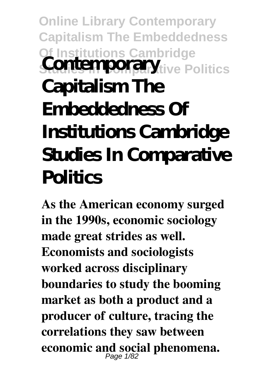## **Online Library Contemporary Capitalism The Embeddedness Of Institutions Cambridge State** Politics **Capitalism The Embeddedness Of Institutions Cambridge Studies In Comparative Politics**

**As the American economy surged in the 1990s, economic sociology made great strides as well. Economists and sociologists worked across disciplinary boundaries to study the booming market as both a product and a producer of culture, tracing the correlations they saw between economic and social phenomena.** Page 1/82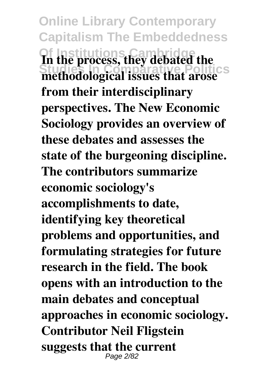**Online Library Contemporary Capitalism The Embeddedness Of Institutions Cambridge** In the process, they debated the<br>methodological issues that arose **from their interdisciplinary perspectives. The New Economic Sociology provides an overview of these debates and assesses the state of the burgeoning discipline. The contributors summarize economic sociology's accomplishments to date, identifying key theoretical problems and opportunities, and formulating strategies for future research in the field. The book opens with an introduction to the main debates and conceptual approaches in economic sociology. Contributor Neil Fligstein suggests that the current** Page 2/82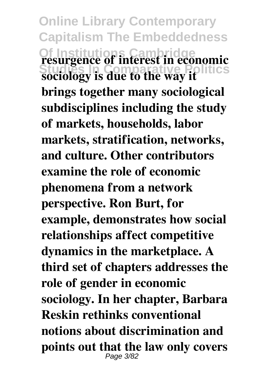**Online Library Contemporary Capitalism The Embeddedness Of Institutions Cambridge Cambridge Cambridge Pointerest in economic sociology is due to the way it brings together many sociological subdisciplines including the study of markets, households, labor markets, stratification, networks, and culture. Other contributors examine the role of economic phenomena from a network perspective. Ron Burt, for example, demonstrates how social relationships affect competitive dynamics in the marketplace. A third set of chapters addresses the role of gender in economic sociology. In her chapter, Barbara Reskin rethinks conventional notions about discrimination and points out that the law only covers** Page 3/82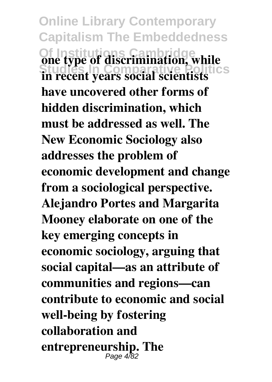**Online Library Contemporary Capitalism The Embeddedness Of Institute of discrimination, while**<br>in recent years second scientists **in recent years social scientists have uncovered other forms of hidden discrimination, which must be addressed as well. The New Economic Sociology also addresses the problem of economic development and change from a sociological perspective. Alejandro Portes and Margarita Mooney elaborate on one of the key emerging concepts in economic sociology, arguing that social capital—as an attribute of communities and regions—can contribute to economic and social well-being by fostering collaboration and entrepreneurship. The** Page 4/82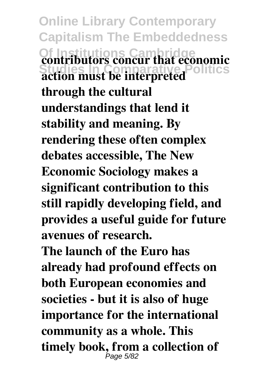**Online Library Contemporary Capitalism The Embeddedness Contributors concur that economic**<br>action must be interpreted. **action must be interpreted through the cultural understandings that lend it stability and meaning. By rendering these often complex debates accessible, The New Economic Sociology makes a significant contribution to this still rapidly developing field, and provides a useful guide for future avenues of research. The launch of the Euro has already had profound effects on both European economies and societies - but it is also of huge importance for the international community as a whole. This timely book, from a collection of** Page 5/82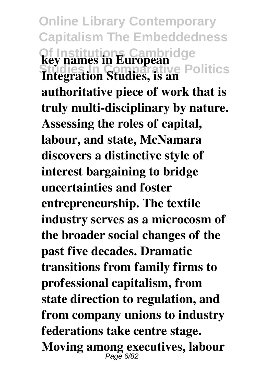**Online Library Contemporary Capitalism The Embeddedness Of Institutions Cambridge Key names in European**<br> **Integration Studies, is an**<br> **Politics authoritative piece of work that is truly multi-disciplinary by nature. Assessing the roles of capital, labour, and state, McNamara discovers a distinctive style of interest bargaining to bridge uncertainties and foster entrepreneurship. The textile industry serves as a microcosm of the broader social changes of the past five decades. Dramatic transitions from family firms to professional capitalism, from state direction to regulation, and from company unions to industry federations take centre stage. Moving among executives, labour** Page 6/82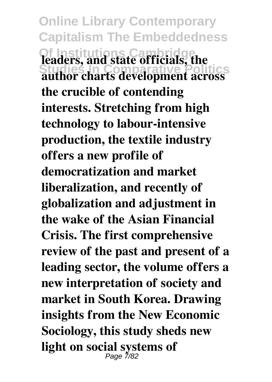**Online Library Contemporary Capitalism The Embeddedness Ieaders, and state officials, the**<br>author charts development across **author charts development across the crucible of contending interests. Stretching from high technology to labour-intensive production, the textile industry offers a new profile of democratization and market liberalization, and recently of globalization and adjustment in the wake of the Asian Financial Crisis. The first comprehensive review of the past and present of a leading sector, the volume offers a new interpretation of society and market in South Korea. Drawing insights from the New Economic Sociology, this study sheds new light on social systems of** Page 7/82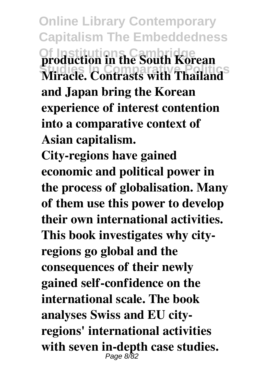**Online Library Contemporary Capitalism The Embeddedness Of Institution in the South Korean**<br>Mirada Contracts with Theiland<sup>S</sup> **Miracle. Contrasts with Thailand and Japan bring the Korean experience of interest contention into a comparative context of Asian capitalism.**

**City-regions have gained economic and political power in the process of globalisation. Many of them use this power to develop their own international activities. This book investigates why cityregions go global and the consequences of their newly gained self-confidence on the international scale. The book analyses Swiss and EU cityregions' international activities** with seven in-depth case studies.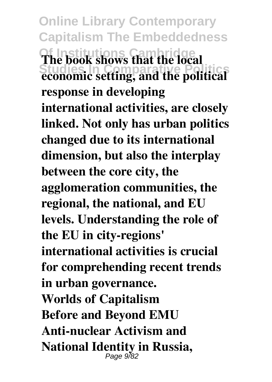**Online Library Contemporary Capitalism The Embeddedness** The book shows that the local **economic setting, and the political response in developing international activities, are closely linked. Not only has urban politics changed due to its international dimension, but also the interplay between the core city, the agglomeration communities, the regional, the national, and EU levels. Understanding the role of the EU in city-regions' international activities is crucial for comprehending recent trends in urban governance. Worlds of Capitalism Before and Beyond EMU Anti-nuclear Activism and National Identity in Russia,** Page 9/82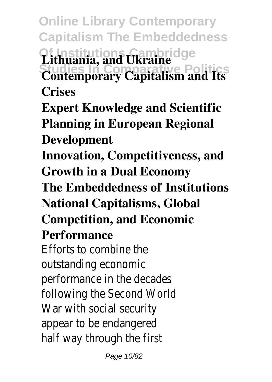**Online Library Contemporary Capitalism The Embeddedness Of Institutions Cambridge Lithuania, and Ukraine<br>
Contemporary Capitalism and Its Crises Expert Knowledge and Scientific**

**Planning in European Regional Development**

**Innovation, Competitiveness, and Growth in a Dual Economy**

**The Embeddedness of Institutions National Capitalisms, Global Competition, and Economic**

## **Performance**

Efforts to combine the outstanding economic performance in the decades following the Second World War with social security appear to be endangered half way through the first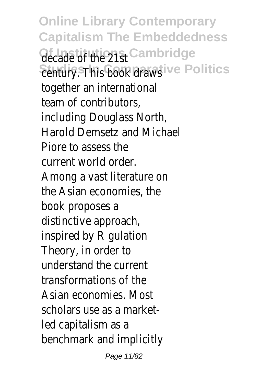**Online Library Contemporary Capitalism The Embeddedness decade of the 21st institution Sentury. This book draws Politics** together an international team of contributors, including Douglass North, Harold Demsetz and Michael Piore to assess the current world order. Among a vast literature on the Asian economies, the book proposes a distinctive approach, inspired by R gulation Theory, in order to understand the current transformations of the Asian economies. Most scholars use as a marketled capitalism as a benchmark and implicitly

Page 11/82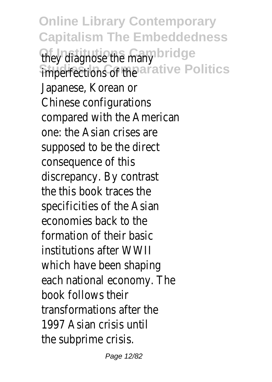**Online Library Contemporary Capitalism The Embeddedness** they diagnose the many ge imperfections of the tive Politics Japanese, Korean or Chinese configurations compared with the American one: the Asian crises are supposed to be the direct consequence of this discrepancy. By contrast the this book traces the specificities of the Asian economies back to the formation of their basic institutions after WWII which have been shaping each national economy. The book follows their transformations after the 1997 Asian crisis until the subprime crisis.

Page 12/82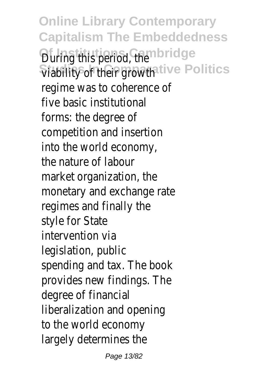**Online Library Contemporary Capitalism The Embeddedness During this period, the idge Viability of their growthe Politics** regime was to coherence of five basic institutional forms: the degree of competition and insertion into the world economy, the nature of labour market organization, the monetary and exchange rate regimes and finally the style for State intervention via legislation, public spending and tax. The book provides new findings. The degree of financial liberalization and opening to the world economy largely determines the

Page 13/82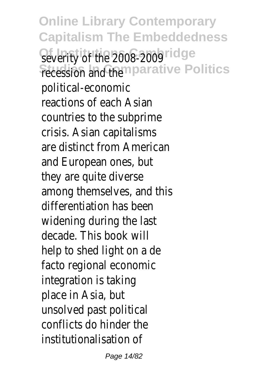**Online Library Contemporary Capitalism The Embeddedness** Severity of the 2008-2009 **Fecession and the arative Politics** political-economic reactions of each Asian countries to the subprime crisis. Asian capitalisms are distinct from American and European ones, but they are quite diverse among themselves, and this differentiation has been widening during the last decade. This book will help to shed light on a de facto regional economic integration is taking place in Asia, but unsolved past political conflicts do hinder the institutionalisation of

Page 14/82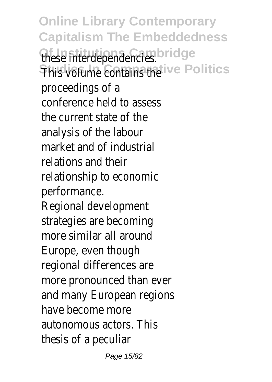**Online Library Contemporary Capitalism The Embeddedness** these interdependencies<sup>Ige</sup> **This volume contains the Politics** proceedings of a conference held to assess the current state of the analysis of the labour market and of industrial relations and their relationship to economic performance. Regional development strategies are becoming more similar all around Europe, even though regional differences are more pronounced than ever and many European regions have become more autonomous actors. This thesis of a peculiar

Page 15/82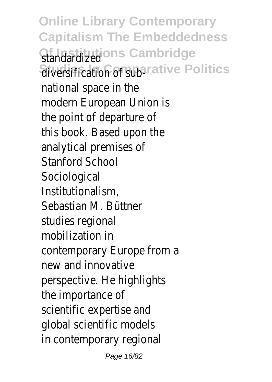**Online Library Contemporary Capitalism The Embeddedness** Standardizedns Cambridge diversification of sub<sup>tive</sup> Politics national space in the modern European Union is the point of departure of this book. Based upon the analytical premises of Stanford School Sociological Institutionalism, Sebastian M. Büttner studies regional mobilization in contemporary Europe from a new and innovative perspective. He highlights the importance of scientific expertise and global scientific models in contemporary regional

Page 16/82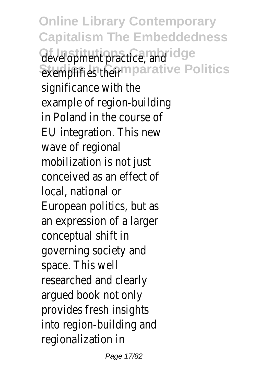**Online Library Contemporary Capitalism The Embeddedness** development practice, and<sup>e</sup> **Exemplifies theirparative Politics** significance with the example of region-building in Poland in the course of EU integration. This new wave of regional mobilization is not just conceived as an effect of local, national or European politics, but as an expression of a larger conceptual shift in governing society and space. This well researched and clearly argued book not only provides fresh insights into region-building and regionalization in

Page 17/82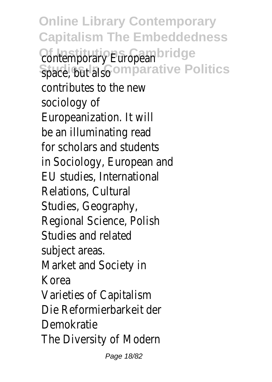**Online Library Contemporary Capitalism The Embeddedness Contemporary Europeandge** Space, but alsonparative Politics contributes to the new sociology of Europeanization. It will be an illuminating read for scholars and students in Sociology, European and EU studies, International Relations, Cultural Studies, Geography, Regional Science, Polish Studies and related subject areas. Market and Society in Korea Varieties of Capitalism Die Reformierbarkeit der Demokratie The Diversity of Modern

Page 18/82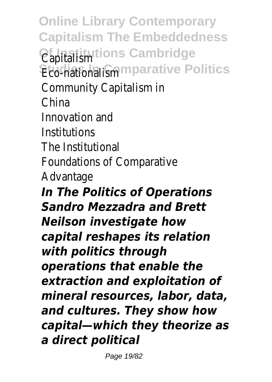**Online Library Contemporary Capitalism The Embeddedness Of Institutions Cambridge** Capitalism **Eco-nationalism parative Politics** Community Capitalism in China Innovation and Institutions The Institutional Foundations of Comparative Advantage *In The Politics of Operations Sandro Mezzadra and Brett Neilson investigate how capital reshapes its relation with politics through operations that enable the extraction and exploitation of mineral resources, labor, data, and cultures. They show how capital—which they theorize as a direct political*

Page 19/82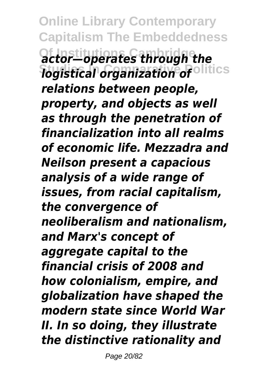**Online Library Contemporary Capitalism The Embeddedness Of Institutions Cambridge** *actor—operates through the* **Studies In Comparative Politics** *logistical organization of relations between people, property, and objects as well as through the penetration of financialization into all realms of economic life. Mezzadra and Neilson present a capacious analysis of a wide range of issues, from racial capitalism, the convergence of neoliberalism and nationalism, and Marx's concept of aggregate capital to the financial crisis of 2008 and how colonialism, empire, and globalization have shaped the modern state since World War II. In so doing, they illustrate the distinctive rationality and*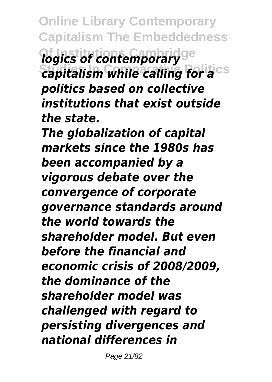**Online Library Contemporary Capitalism The Embeddedness** *logics of contemporary Capitalism while calling for a*cs *politics based on collective institutions that exist outside the state.*

*The globalization of capital markets since the 1980s has been accompanied by a vigorous debate over the convergence of corporate governance standards around the world towards the shareholder model. But even before the financial and economic crisis of 2008/2009, the dominance of the shareholder model was challenged with regard to persisting divergences and national differences in*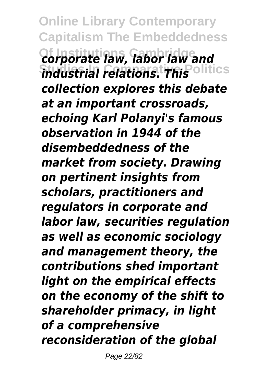**Online Library Contemporary Capitalism The Embeddedness Of Institutions Cambridge** *corporate law, labor law and industrial relations. This* olitics *collection explores this debate at an important crossroads, echoing Karl Polanyi's famous observation in 1944 of the disembeddedness of the market from society. Drawing on pertinent insights from scholars, practitioners and regulators in corporate and labor law, securities regulation as well as economic sociology and management theory, the contributions shed important light on the empirical effects on the economy of the shift to shareholder primacy, in light of a comprehensive reconsideration of the global*

Page 22/82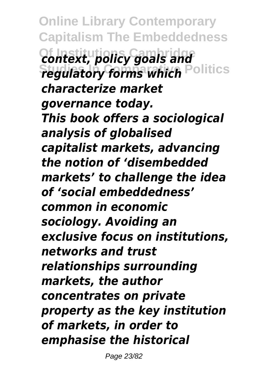**Online Library Contemporary Capitalism The Embeddedness Of Institutions Cambridge** *context, policy goals and regulatory forms which* **Politics** *characterize market governance today. This book offers a sociological analysis of globalised capitalist markets, advancing the notion of 'disembedded markets' to challenge the idea of 'social embeddedness' common in economic sociology. Avoiding an exclusive focus on institutions, networks and trust relationships surrounding markets, the author concentrates on private property as the key institution of markets, in order to emphasise the historical*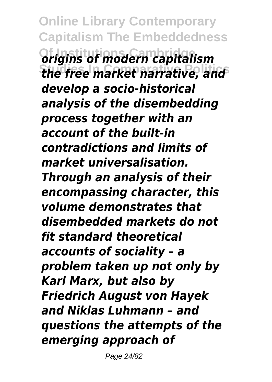**Online Library Contemporary Capitalism The Embeddedness Of Institutions Cambridge** *origins of modern capitalism* **Studies In Comparative Politics** *the free market narrative, and develop a socio-historical analysis of the disembedding process together with an account of the built-in contradictions and limits of market universalisation. Through an analysis of their encompassing character, this volume demonstrates that disembedded markets do not fit standard theoretical accounts of sociality – a problem taken up not only by Karl Marx, but also by Friedrich August von Hayek and Niklas Luhmann – and questions the attempts of the emerging approach of*

Page 24/82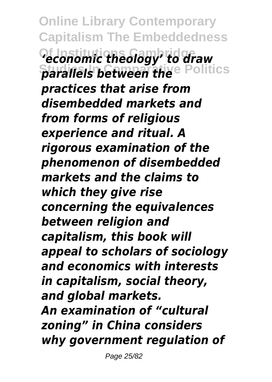**Online Library Contemporary Capitalism The Embeddedness Of Institutions Cambridge** *'economic theology' to draw* **Parallels between the Politics** *practices that arise from disembedded markets and from forms of religious experience and ritual. A rigorous examination of the phenomenon of disembedded markets and the claims to which they give rise concerning the equivalences between religion and capitalism, this book will appeal to scholars of sociology and economics with interests in capitalism, social theory, and global markets. An examination of "cultural zoning" in China considers why government regulation of*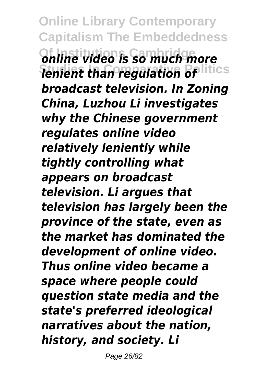**Online Library Contemporary Capitalism The Embeddedness Of Institutions Cambridge** *online video is so much more* **Studies In Comparative Politics** *lenient than regulation of broadcast television. In Zoning China, Luzhou Li investigates why the Chinese government regulates online video relatively leniently while tightly controlling what appears on broadcast television. Li argues that television has largely been the province of the state, even as the market has dominated the development of online video. Thus online video became a space where people could question state media and the state's preferred ideological narratives about the nation, history, and society. Li*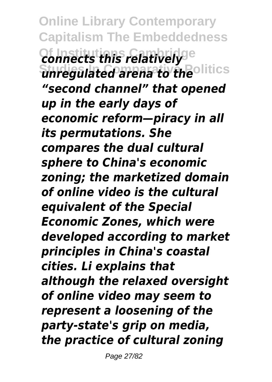**Online Library Contemporary Capitalism The Embeddedness Connects this relatively Studies In Comparative Politics** *unregulated arena to the "second channel" that opened up in the early days of economic reform—piracy in all its permutations. She compares the dual cultural sphere to China's economic zoning; the marketized domain of online video is the cultural equivalent of the Special Economic Zones, which were developed according to market principles in China's coastal cities. Li explains that although the relaxed oversight of online video may seem to represent a loosening of the party-state's grip on media, the practice of cultural zoning*

Page 27/82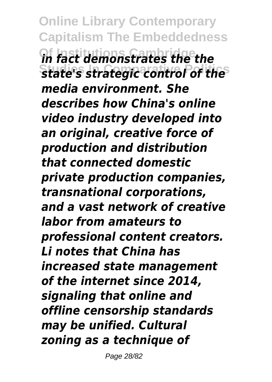**Online Library Contemporary Capitalism The Embeddedness Of Institutions Cambridge** *in fact demonstrates the the* **Studies In Comparative Politics** *state's strategic control of the media environment. She describes how China's online video industry developed into an original, creative force of production and distribution that connected domestic private production companies, transnational corporations, and a vast network of creative labor from amateurs to professional content creators. Li notes that China has increased state management of the internet since 2014, signaling that online and offline censorship standards may be unified. Cultural zoning as a technique of*

Page 28/82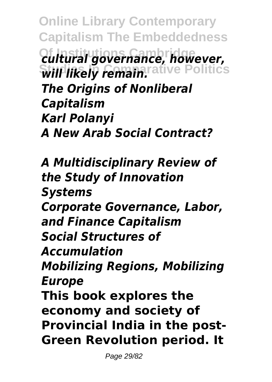**Online Library Contemporary Capitalism The Embeddedness Of Institutions Cambridge** *cultural governance, however,* **Will likely remain.** The Politics *The Origins of Nonliberal Capitalism Karl Polanyi A New Arab Social Contract?*

*A Multidisciplinary Review of the Study of Innovation Systems Corporate Governance, Labor, and Finance Capitalism Social Structures of Accumulation Mobilizing Regions, Mobilizing Europe* **This book explores the economy and society of Provincial India in the post-Green Revolution period. It**

Page 29/82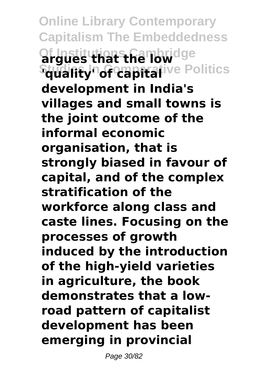**Online Library Contemporary Capitalism The Embeddedness Of Institutions Cambridge argues that the low Studifty' of capital**ive Politics **development in India's villages and small towns is the joint outcome of the informal economic organisation, that is strongly biased in favour of capital, and of the complex stratification of the workforce along class and caste lines. Focusing on the processes of growth induced by the introduction of the high-yield varieties in agriculture, the book demonstrates that a lowroad pattern of capitalist development has been emerging in provincial**

Page 30/82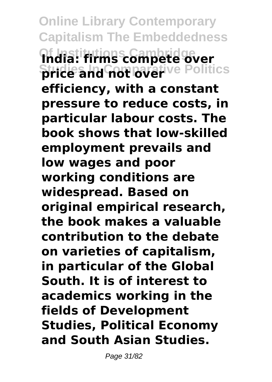**Online Library Contemporary Capitalism The Embeddedness Of Institutions Cambridge India: firms compete over Strice and not lover** ive Politics **efficiency, with a constant pressure to reduce costs, in particular labour costs. The book shows that low-skilled employment prevails and low wages and poor working conditions are widespread. Based on original empirical research, the book makes a valuable contribution to the debate on varieties of capitalism, in particular of the Global South. It is of interest to academics working in the fields of Development Studies, Political Economy and South Asian Studies.**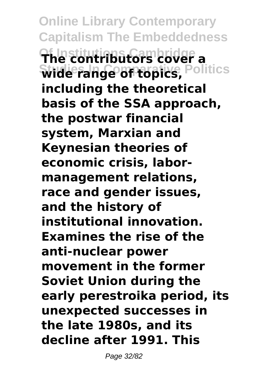**Online Library Contemporary Capitalism The Embeddedness Of Institutions Cambridge The contributors cover a Studies In Comparative Politics wide range of topics, including the theoretical basis of the SSA approach, the postwar financial system, Marxian and Keynesian theories of economic crisis, labormanagement relations, race and gender issues, and the history of institutional innovation. Examines the rise of the anti-nuclear power movement in the former Soviet Union during the early perestroika period, its unexpected successes in the late 1980s, and its decline after 1991. This**

Page 32/82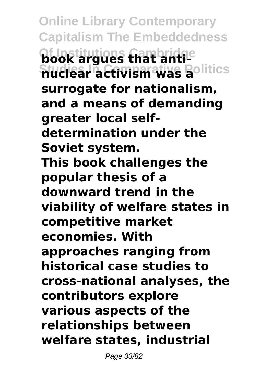**Online Library Contemporary Capitalism The Embeddedness Of Institutions Cambridge book argues that anti-Studies In Comparative Politics nuclear activism was a surrogate for nationalism, and a means of demanding greater local selfdetermination under the Soviet system. This book challenges the popular thesis of a downward trend in the viability of welfare states in competitive market economies. With approaches ranging from historical case studies to cross-national analyses, the contributors explore various aspects of the relationships between welfare states, industrial**

Page 33/82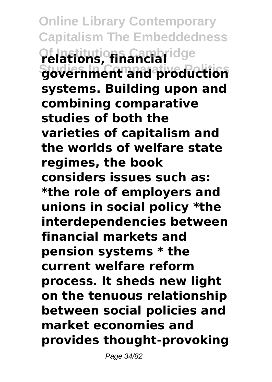**Online Library Contemporary Capitalism The Embeddedness Of Institutions Cambridge relations, financial Studies In Comparative Politics government and production systems. Building upon and combining comparative studies of both the varieties of capitalism and the worlds of welfare state regimes, the book considers issues such as: \*the role of employers and unions in social policy \*the interdependencies between financial markets and pension systems \* the current welfare reform process. It sheds new light on the tenuous relationship between social policies and market economies and provides thought-provoking**

Page 34/82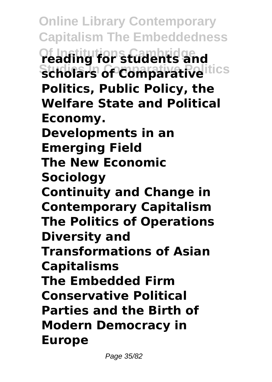**Online Library Contemporary Capitalism The Embeddedness Of Institutions Cambridge reading for students and Scholars of Comparative** Itics **Politics, Public Policy, the Welfare State and Political Economy. Developments in an Emerging Field The New Economic Sociology Continuity and Change in Contemporary Capitalism The Politics of Operations Diversity and Transformations of Asian Capitalisms The Embedded Firm Conservative Political Parties and the Birth of Modern Democracy in Europe**

Page 35/82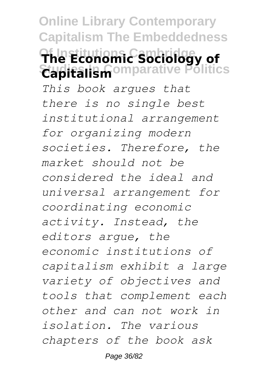**Online Library Contemporary Capitalism The Embeddedness Of Institutions Cambridge The Economic Sociology of Studies In Comparative Politics Capitalism** *This book argues that there is no single best institutional arrangement for organizing modern societies. Therefore, the market should not be considered the ideal and universal arrangement for coordinating economic activity. Instead, the editors argue, the economic institutions of capitalism exhibit a large variety of objectives and tools that complement each other and can not work in isolation. The various chapters of the book ask*

Page 36/82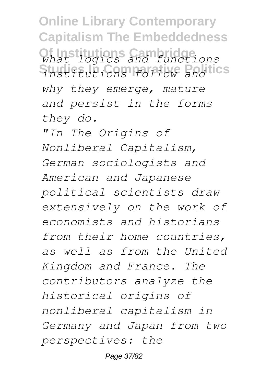**Online Library Contemporary Capitalism The Embeddedness Of Institutions Cambridge** *what logics and functions* **Studies In Comparative Politics** *institutions follow and why they emerge, mature and persist in the forms they do.*

*"In The Origins of Nonliberal Capitalism, German sociologists and American and Japanese political scientists draw extensively on the work of economists and historians from their home countries, as well as from the United Kingdom and France. The contributors analyze the historical origins of nonliberal capitalism in Germany and Japan from two perspectives: the*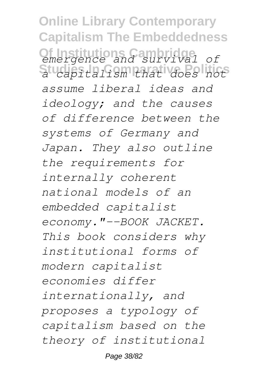**Online Library Contemporary Capitalism The Embeddedness Of Institutions Cambridge** *emergence and survival of* **Studies In Comparative Politics** *a capitalism that does not assume liberal ideas and ideology; and the causes of difference between the systems of Germany and Japan. They also outline the requirements for internally coherent national models of an embedded capitalist economy."--BOOK JACKET. This book considers why institutional forms of modern capitalist economies differ internationally, and proposes a typology of capitalism based on the theory of institutional*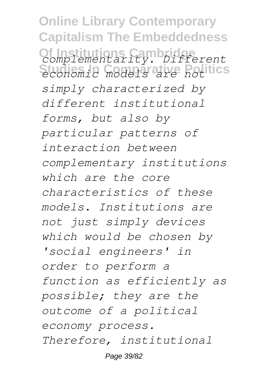**Online Library Contemporary Capitalism The Embeddedness Of Institutions Cambridge** *complementarity. Different* **Studies In Comparative Politics** *economic models are not simply characterized by different institutional forms, but also by particular patterns of interaction between complementary institutions which are the core characteristics of these models. Institutions are not just simply devices which would be chosen by 'social engineers' in order to perform a function as efficiently as possible; they are the outcome of a political economy process. Therefore, institutional*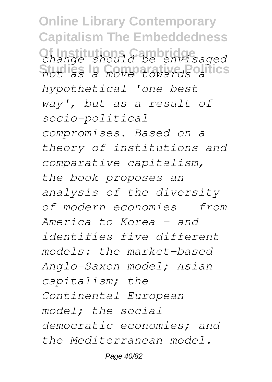**Online Library Contemporary Capitalism The Embeddedness Of Institutions Cambridge** *change should be envisaged* **Studies In Comparative Politics** *not as a move towards a hypothetical 'one best way', but as a result of socio-political compromises. Based on a theory of institutions and comparative capitalism, the book proposes an analysis of the diversity of modern economies - from America to Korea - and identifies five different models: the market-based Anglo-Saxon model; Asian capitalism; the Continental European model; the social democratic economies; and the Mediterranean model.*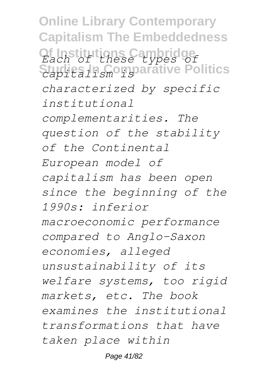**Online Library Contemporary Capitalism The Embeddedness Of Institutions Cambridge** *Each of these types of* **Studies In Comparative Politics** *capitalism is characterized by specific institutional complementarities. The question of the stability of the Continental European model of capitalism has been open since the beginning of the 1990s: inferior macroeconomic performance compared to Anglo-Saxon economies, alleged unsustainability of its welfare systems, too rigid markets, etc. The book examines the institutional transformations that have taken place within*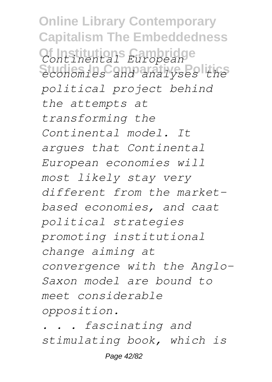**Online Library Contemporary Capitalism The Embeddedness Of Institutions Cambridge** *Continental European* **Studies In Comparative Politics** *economies and analyses the political project behind the attempts at transforming the Continental model. It argues that Continental European economies will most likely stay very different from the marketbased economies, and caat political strategies promoting institutional change aiming at convergence with the Anglo-Saxon model are bound to meet considerable opposition.*

*. . . fascinating and stimulating book, which is*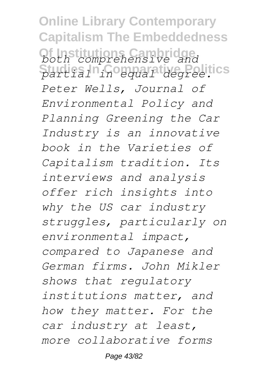**Online Library Contemporary Capitalism The Embeddedness Of Institutions Cambridge** *both comprehensive and* **Studies In Comparative Politics** *partial in equal degree. Peter Wells, Journal of Environmental Policy and Planning Greening the Car Industry is an innovative book in the Varieties of Capitalism tradition. Its interviews and analysis offer rich insights into why the US car industry struggles, particularly on environmental impact, compared to Japanese and German firms. John Mikler shows that regulatory institutions matter, and how they matter. For the car industry at least, more collaborative forms*

Page 43/82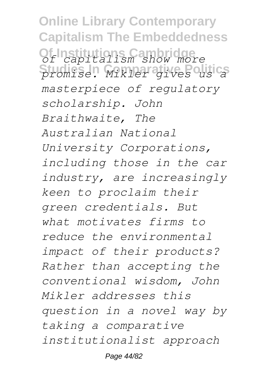**Online Library Contemporary Capitalism The Embeddedness Of Institutions Cambridge** *of capitalism show more* **Studies In Comparative Politics** *promise. Mikler gives us a masterpiece of regulatory scholarship. John Braithwaite, The Australian National University Corporations, including those in the car industry, are increasingly keen to proclaim their green credentials. But what motivates firms to reduce the environmental impact of their products? Rather than accepting the conventional wisdom, John Mikler addresses this question in a novel way by taking a comparative institutionalist approach*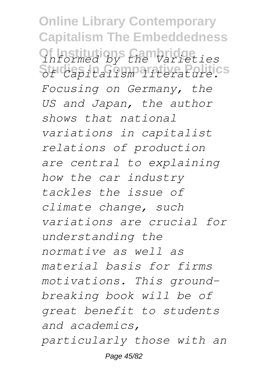**Online Library Contemporary Capitalism The Embeddedness Of Institutions Cambridge** *informed by the Varieties* **Studies In Comparative Politics** *of Capitalism literature. Focusing on Germany, the US and Japan, the author shows that national variations in capitalist relations of production are central to explaining how the car industry tackles the issue of climate change, such variations are crucial for understanding the normative as well as material basis for firms motivations. This groundbreaking book will be of great benefit to students and academics, particularly those with an* Page 45/82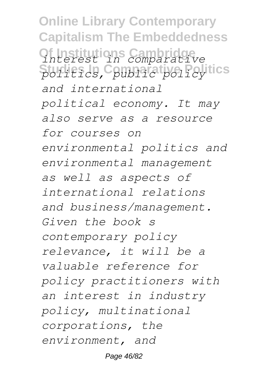**Online Library Contemporary Capitalism The Embeddedness Of Institutions Cambridge** *interest in comparative* **Studies In Comparative Politics** *politics, public policy and international political economy. It may also serve as a resource for courses on environmental politics and environmental management as well as aspects of international relations and business/management. Given the book s contemporary policy relevance, it will be a valuable reference for policy practitioners with an interest in industry policy, multinational corporations, the environment, and*

Page 46/82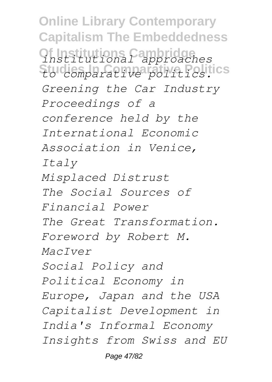**Online Library Contemporary Capitalism The Embeddedness Of Institutions Cambridge** *institutional approaches* **Studies In Comparative Politics** *to comparative politics. Greening the Car Industry Proceedings of a conference held by the International Economic Association in Venice, Italy Misplaced Distrust The Social Sources of Financial Power The Great Transformation. Foreword by Robert M. MacIver Social Policy and Political Economy in Europe, Japan and the USA Capitalist Development in India's Informal Economy Insights from Swiss and EU*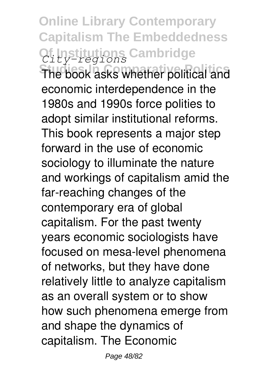**Online Library Contemporary Capitalism The Embeddedness Of Institutions Cambridge** *City-regions*

**The book asks whether political and** economic interdependence in the 1980s and 1990s force polities to adopt similar institutional reforms. This book represents a major step forward in the use of economic sociology to illuminate the nature and workings of capitalism amid the far-reaching changes of the contemporary era of global capitalism. For the past twenty years economic sociologists have focused on mesa-level phenomena of networks, but they have done relatively little to analyze capitalism as an overall system or to show how such phenomena emerge from and shape the dynamics of capitalism. The Economic

Page 48/82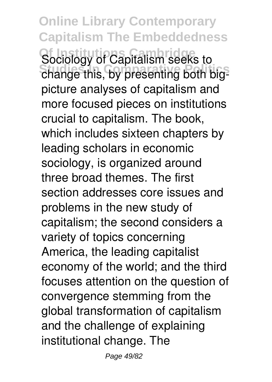**Online Library Contemporary Capitalism The Embeddedness** Sociology of Capitalism seeks to change this, by presenting both bigpicture analyses of capitalism and more focused pieces on institutions crucial to capitalism. The book, which includes sixteen chapters by leading scholars in economic sociology, is organized around three broad themes. The first section addresses core issues and problems in the new study of capitalism; the second considers a variety of topics concerning America, the leading capitalist economy of the world; and the third focuses attention on the question of convergence stemming from the global transformation of capitalism and the challenge of explaining institutional change. The

Page 49/82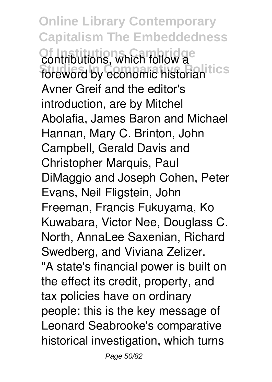**Online Library Contemporary Capitalism The Embeddedness Contributions, which follow a** foreword by economic historian<sup>tics</sup> Avner Greif and the editor's introduction, are by Mitchel Abolafia, James Baron and Michael Hannan, Mary C. Brinton, John Campbell, Gerald Davis and Christopher Marquis, Paul DiMaggio and Joseph Cohen, Peter Evans, Neil Fligstein, John Freeman, Francis Fukuyama, Ko Kuwabara, Victor Nee, Douglass C. North, AnnaLee Saxenian, Richard Swedberg, and Viviana Zelizer. "A state's financial power is built on the effect its credit, property, and tax policies have on ordinary people: this is the key message of Leonard Seabrooke's comparative historical investigation, which turns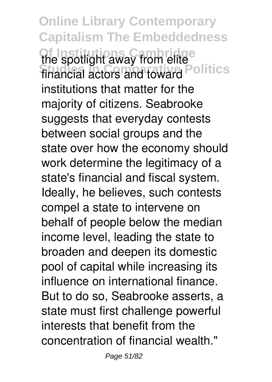**Online Library Contemporary Capitalism The Embeddedness The spotlight away from elite** financial actors and toward Politics institutions that matter for the majority of citizens. Seabrooke suggests that everyday contests between social groups and the state over how the economy should work determine the legitimacy of a state's financial and fiscal system. Ideally, he believes, such contests compel a state to intervene on behalf of people below the median income level, leading the state to broaden and deepen its domestic pool of capital while increasing its influence on international finance. But to do so, Seabrooke asserts, a state must first challenge powerful interests that benefit from the concentration of financial wealth."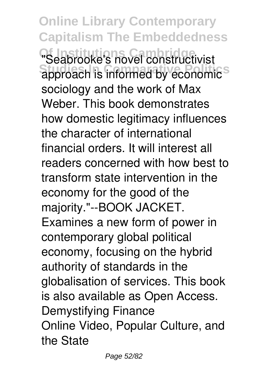**Online Library Contemporary Capitalism The Embeddedness** "Seabrooke's novel constructivist **Studies Informed by economic** sociology and the work of Max Weber. This book demonstrates how domestic legitimacy influences the character of international financial orders. It will interest all readers concerned with how best to transform state intervention in the economy for the good of the majority."--BOOK JACKET. Examines a new form of power in contemporary global political economy, focusing on the hybrid authority of standards in the globalisation of services. This book is also available as Open Access. Demystifying Finance Online Video, Popular Culture, and the State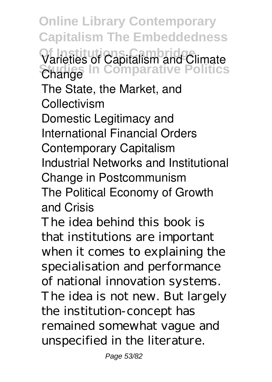**Online Library Contemporary Capitalism The Embeddedness Of Institutions Cambridge** Varieties of Capitalism and Climate **Studies In Comparative Politics Change** The State, the Market, and **Collectivism** Domestic Legitimacy and International Financial Orders Contemporary Capitalism Industrial Networks and Institutional Change in Postcommunism The Political Economy of Growth and Crisis

The idea behind this book is that institutions are important when it comes to explaining the specialisation and performance of national innovation systems. The idea is not new. But largely the institution-concept has remained somewhat vague and unspecified in the literature.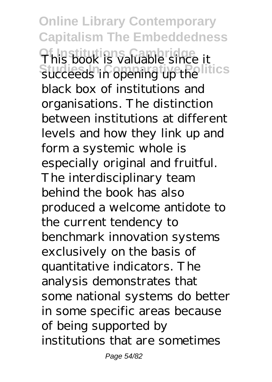**Online Library Contemporary Capitalism The Embeddedness Of Institutions Cambridge** This book is valuable since it **Studies In Comparative Politics** succeeds in opening up the black box of institutions and organisations. The distinction between institutions at different levels and how they link up and form a systemic whole is especially original and fruitful. The interdisciplinary team behind the book has also produced a welcome antidote to the current tendency to benchmark innovation systems exclusively on the basis of quantitative indicators. The analysis demonstrates that some national systems do better in some specific areas because of being supported by institutions that are sometimes

Page 54/82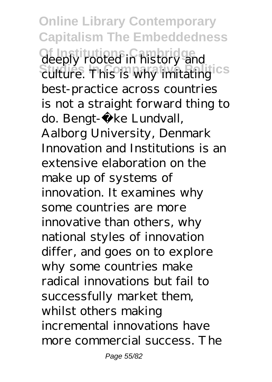**Online Library Contemporary Capitalism The Embeddedness** deeply rooted in history and culture. This is why imitating <sup>CS</sup> best-practice across countries is not a straight forward thing to do. Bengt-Åke Lundvall, Aalborg University, Denmark Innovation and Institutions is an extensive elaboration on the make up of systems of innovation. It examines why some countries are more innovative than others, why national styles of innovation differ, and goes on to explore why some countries make radical innovations but fail to successfully market them, whilst others making incremental innovations have more commercial success. The

Page 55/82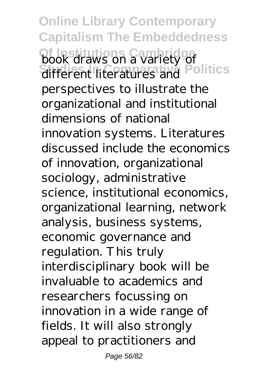**Online Library Contemporary Capitalism The Embeddedness Of Institutions Cambridge Studies In Comparative Politics** book draws on a variety of different literatures and perspectives to illustrate the organizational and institutional dimensions of national innovation systems. Literatures discussed include the economics of innovation, organizational sociology, administrative science, institutional economics, organizational learning, network analysis, business systems, economic governance and regulation. This truly interdisciplinary book will be invaluable to academics and researchers focussing on innovation in a wide range of fields. It will also strongly appeal to practitioners and

Page 56/82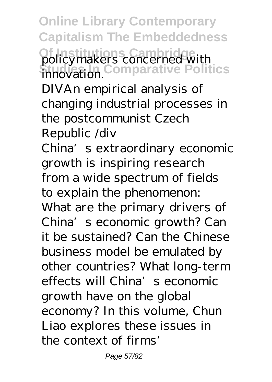**Online Library Contemporary Capitalism The Embeddedness Of Institutions Cambridge Studies In Comparative Politics** policymakers concerned with innovation.

DIVAn empirical analysis of changing industrial processes in the postcommunist Czech Republic /div

China's extraordinary economic growth is inspiring research from a wide spectrum of fields to explain the phenomenon:

What are the primary drivers of China's economic growth? Can it be sustained? Can the Chinese business model be emulated by other countries? What long-term effects will China's economic growth have on the global economy? In this volume, Chun Liao explores these issues in the context of firms'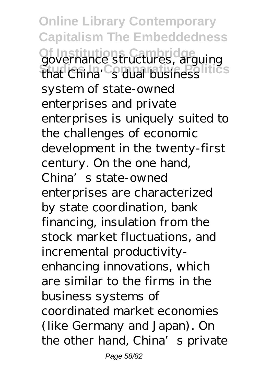**Online Library Contemporary Capitalism The Embeddedness Of Institutions Cambridge** governance structures, arguing **Studies In Comparative Politics** that China's dual business system of state-owned enterprises and private enterprises is uniquely suited to the challenges of economic development in the twenty-first century. On the one hand, China's state-owned enterprises are characterized by state coordination, bank financing, insulation from the stock market fluctuations, and incremental productivityenhancing innovations, which are similar to the firms in the business systems of coordinated market economies (like Germany and Japan). On the other hand, China's private

Page 58/82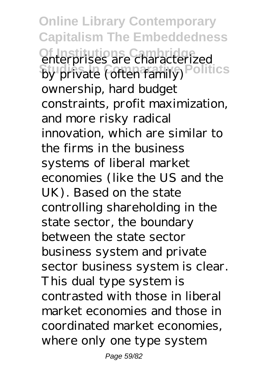**Online Library Contemporary Capitalism The Embeddedness Of Institutions Cambridge** enterprises are characterized by private (often family) Politics ownership, hard budget constraints, profit maximization, and more risky radical innovation, which are similar to the firms in the business systems of liberal market economies (like the US and the UK). Based on the state controlling shareholding in the state sector, the boundary between the state sector business system and private sector business system is clear. This dual type system is contrasted with those in liberal market economies and those in coordinated market economies, where only one type system

Page 59/82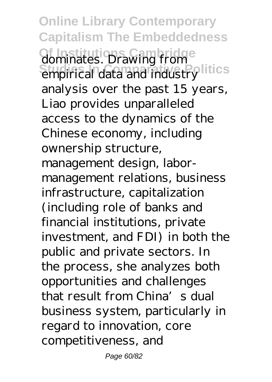**Online Library Contemporary Capitalism The Embeddedness dominates. Drawing from Studies In Comparative Politics** empirical data and industry analysis over the past 15 years, Liao provides unparalleled access to the dynamics of the Chinese economy, including ownership structure, management design, labormanagement relations, business infrastructure, capitalization (including role of banks and financial institutions, private investment, and FDI) in both the public and private sectors. In the process, she analyzes both opportunities and challenges that result from China's dual business system, particularly in regard to innovation, core competitiveness, and

Page 60/82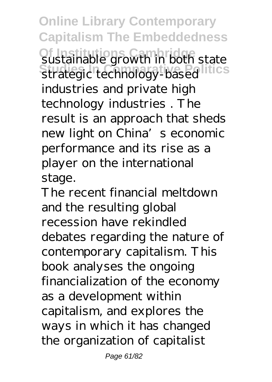**Online Library Contemporary Capitalism The Embeddedness Of Institutions Cambridge** sustainable growth in both state strategic technology-based industries and private high technology industries . The result is an approach that sheds new light on China's economic performance and its rise as a player on the international stage.

The recent financial meltdown and the resulting global recession have rekindled debates regarding the nature of contemporary capitalism. This book analyses the ongoing financialization of the economy as a development within capitalism, and explores the ways in which it has changed the organization of capitalist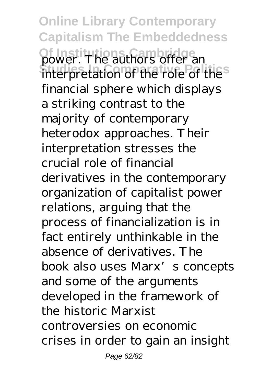**Online Library Contemporary Capitalism The Embeddedness Of Institutions** of **Institutions** offer an interpretation of the role of the financial sphere which displays a striking contrast to the majority of contemporary heterodox approaches. Their interpretation stresses the crucial role of financial derivatives in the contemporary organization of capitalist power relations, arguing that the process of financialization is in fact entirely unthinkable in the absence of derivatives. The book also uses Marx's concepts and some of the arguments developed in the framework of the historic Marxist controversies on economic crises in order to gain an insight

Page 62/82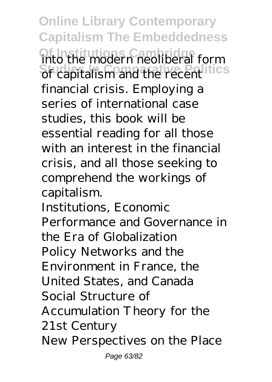**Online Library Contemporary Capitalism The Embeddedness Of Institution** Cambridge in the modern neoliberal form **Studies In Comparative Politics** of capitalism and the recent financial crisis. Employing a series of international case studies, this book will be essential reading for all those with an interest in the financial crisis, and all those seeking to comprehend the workings of capitalism. Institutions, Economic

Performance and Governance in the Era of Globalization Policy Networks and the Environment in France, the United States, and Canada Social Structure of Accumulation Theory for the 21st Century New Perspectives on the Place Page 63/82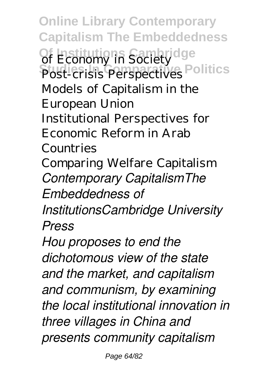**Online Library Contemporary Capitalism The Embeddedness** Of Economy in Society Post-crisis Perspectives Politics Models of Capitalism in the European Union Institutional Perspectives for Economic Reform in Arab Countries Comparing Welfare Capitalism *Contemporary CapitalismThe Embeddedness of InstitutionsCambridge University Press Hou proposes to end the dichotomous view of the state and the market, and capitalism*

*and communism, by examining the local institutional innovation in three villages in China and presents community capitalism*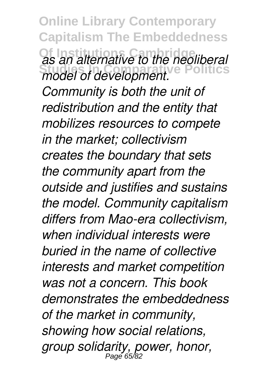**Online Library Contemporary Capitalism The Embeddedness Of Institutions Cambridge Studies In Comparative Politics** *as an alternative to the neoliberal model of development. Community is both the unit of redistribution and the entity that mobilizes resources to compete in the market; collectivism creates the boundary that sets the community apart from the outside and justifies and sustains the model. Community capitalism differs from Mao-era collectivism, when individual interests were buried in the name of collective interests and market competition was not a concern. This book demonstrates the embeddedness of the market in community, showing how social relations, group solidarity, power, honor,* Page 65/82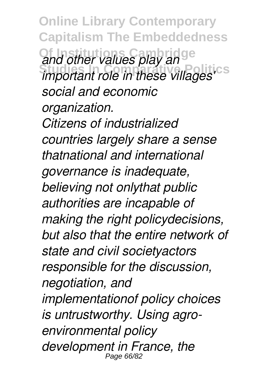**Online Library Contemporary Capitalism The Embeddedness Of Institutions Cambridge** and other values play an<br>important role in these villages'<sup>es</sup> *social and economic organization. Citizens of industrialized countries largely share a sense thatnational and international governance is inadequate, believing not onlythat public authorities are incapable of making the right policydecisions, but also that the entire network of state and civil societyactors responsible for the discussion, negotiation, and implementationof policy choices is untrustworthy. Using agroenvironmental policy development in France, the* Page 66/82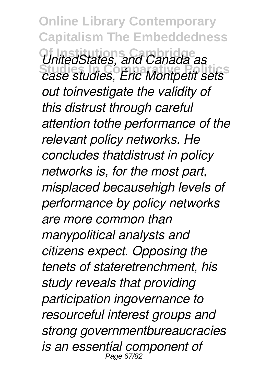**Online Library Contemporary Capitalism The Embeddedness Of Institutions Cambridge Studies In Comparative Politics** *UnitedStates, and Canada as case studies, Éric Montpetit sets out toinvestigate the validity of this distrust through careful attention tothe performance of the relevant policy networks. He concludes thatdistrust in policy networks is, for the most part, misplaced becausehigh levels of performance by policy networks are more common than manypolitical analysts and citizens expect. Opposing the tenets of stateretrenchment, his study reveals that providing participation ingovernance to resourceful interest groups and strong governmentbureaucracies is an essential component of* Page 67/82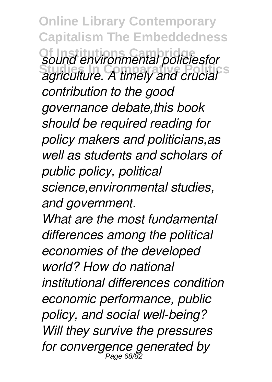**Online Library Contemporary Capitalism The Embeddedness Sound environmental policiesfor**<br>**Soriculture A timely and crucial** *agriculture. A timely and crucial contribution to the good governance debate,this book should be required reading for policy makers and politicians,as well as students and scholars of public policy, political science,environmental studies, and government. What are the most fundamental differences among the political economies of the developed world? How do national institutional differences condition economic performance, public policy, and social well-being? Will they survive the pressures for convergence generated by* Page 68/82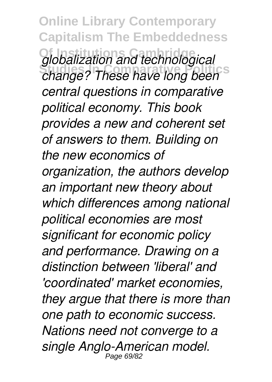**Online Library Contemporary Capitalism The Embeddedness** *<u>Globalization</u>* and technological *change? These have long been central questions in comparative political economy. This book provides a new and coherent set of answers to them. Building on the new economics of organization, the authors develop an important new theory about which differences among national political economies are most significant for economic policy and performance. Drawing on a distinction between 'liberal' and 'coordinated' market economies, they argue that there is more than one path to economic success. Nations need not converge to a single Anglo-American model.* Page 69/82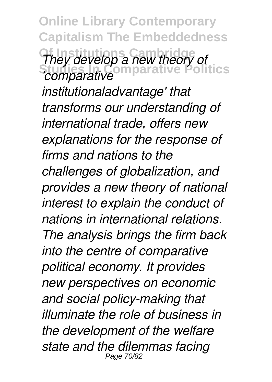**Online Library Contemporary Capitalism The Embeddedness They develop a new theory of**<br>*Comparative* **In Data** *Terminals Politics 'comparative*

*institutionaladvantage' that transforms our understanding of international trade, offers new explanations for the response of firms and nations to the challenges of globalization, and provides a new theory of national interest to explain the conduct of nations in international relations. The analysis brings the firm back into the centre of comparative political economy. It provides new perspectives on economic and social policy-making that illuminate the role of business in the development of the welfare state and the dilemmas facing* Page 70/82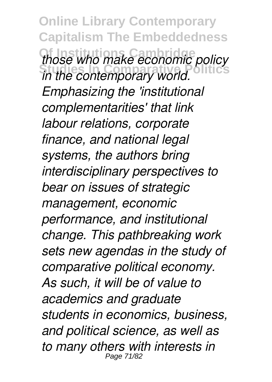**Online Library Contemporary Capitalism The Embeddedness Those who make economic policy**<br>in the contemporary world *in the contemporary world. Emphasizing the 'institutional complementarities' that link labour relations, corporate finance, and national legal systems, the authors bring interdisciplinary perspectives to bear on issues of strategic management, economic performance, and institutional change. This pathbreaking work sets new agendas in the study of comparative political economy. As such, it will be of value to academics and graduate students in economics, business, and political science, as well as to many others with interests in* Page 71/8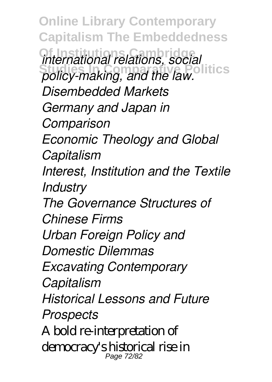**Online Library Contemporary Capitalism The Embeddedness Of Institutions Cambridge Studies In Comparative Politics** *international relations, social policy-making, and the law. Disembedded Markets Germany and Japan in Comparison Economic Theology and Global Capitalism Interest, Institution and the Textile Industry The Governance Structures of Chinese Firms Urban Foreign Policy and Domestic Dilemmas Excavating Contemporary Capitalism Historical Lessons and Future Prospects* A bold re-interpretation of democracy's historical rise in Page 72/8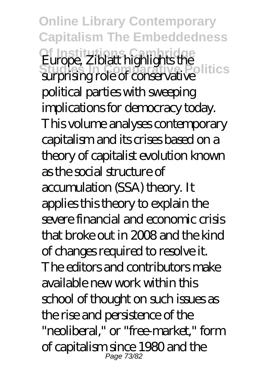**Online Library Contemporary Capitalism The Embeddedness Europe, Ziblatt highlights the**<br>Suppliers in Colitics surprising role of conservative political parties with sweeping implications for democracy today. This volume analyses contemporary capitalism and its crises based on a theory of capitalist evolution known as the social structure of accumulation (SSA) theory. It applies this theory to explain the severe financial and economic crisis that broke out in 2008 and the kind of changes required to resolve it. The editors and contributors make available new work within this school of thought on such issues as the rise and persistence of the "neoliberal," or "free-market," form of capitalism since 1980 and the Page 73/82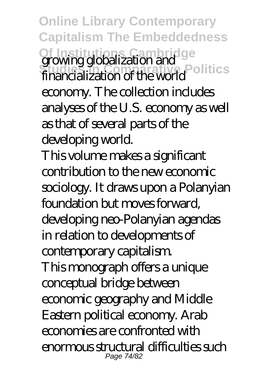**Online Library Contemporary Capitalism The Embeddedness** Of Institutions Cambridge<br>**growing globalization and**<br>**Strugglobalization of the UNIC** Politics financialization of the world economy. The collection includes analyses of the U.S. economy as well as that of several parts of the developing world. This volume makes a significant contribution to the new economic sociology. It draws upon a Polanyian foundation but moves forward, developing neo-Polanyian agendas in relation to developments of contemporary capitalism. This monograph offers a unique conceptual bridge between economic geography and Middle Eastern political economy. Arab economies are confronted with enormous structural difficulties such Page 74/82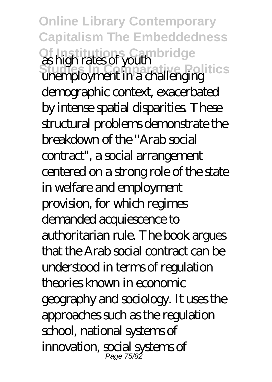**Online Library Contemporary Capitalism The Embeddedness Of Institutions Cambridge Studies In Comparative Politics** as high rates of youth superstance your end politics demographic context, exacerbated by intense spatial disparities. These structural problems demonstrate the breakdown of the "Arab social contract", a social arrangement centered on a strong role of the state in welfare and employment provision, for which regimes demanded acquiescence to authoritarian rule. The book argues that the Arab social contract can be understood in terms of regulation theories known in economic geography and sociology. It uses the approaches such as the regulation school, national systems of innovation, social systems of Page 75/82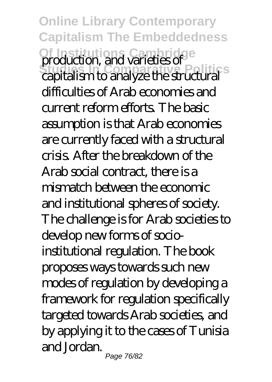**Online Library Contemporary Capitalism The Embeddedness Of Institutions Cambridge Studies In Comparative Politics** production, and varieties of capitalism to analyze the structural difficulties of Arab economies and current reform efforts. The basic assumption is that Arab economies are currently faced with a structural crisis. After the breakdown of the Arab social contract, there is a mismatch between the economic and institutional spheres of society. The challenge is for Arab societies to develop new forms of socioinstitutional regulation. The book proposes ways towards such new modes of regulation by developing a framework for regulation specifically targeted towards Arab societies, and by applying it to the cases of Tunisia and Jordan.

Page 76/82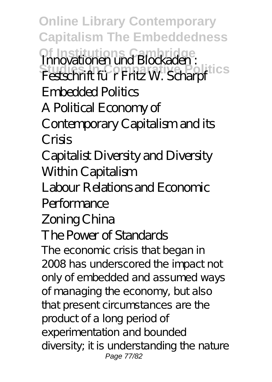**Online Library Contemporary Capitalism The Embeddedness Of Institutions Cambridge** Innovationen und Blockaden :<br>Festschrift für Fritz W. Scharpf Embedded Politics A Political Economy of

Contemporary Capitalism and its Crisis

Capitalist Diversity and Diversity Within Capitalism

Labour Relations and Economic

## **Performance**

## Zoning China

## The Power of Standards

The economic crisis that began in 2008 has underscored the impact not only of embedded and assumed ways of managing the economy, but also that present circumstances are the product of a long period of experimentation and bounded diversity; it is understanding the nature Page 77/82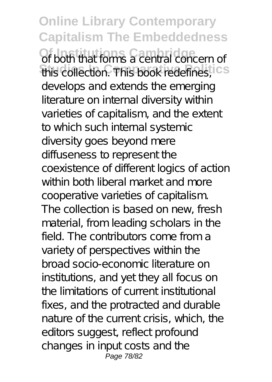**Online Library Contemporary Capitalism The Embeddedness Of both that forms a central concern of** this collection. This book redefines, ICS develops and extends the emerging literature on internal diversity within varieties of capitalism, and the extent to which such internal systemic diversity goes beyond mere diffuseness to represent the coexistence of different logics of action within both liberal market and more cooperative varieties of capitalism. The collection is based on new, fresh material, from leading scholars in the field. The contributors come from a variety of perspectives within the broad socio-economic literature on institutions, and yet they all focus on the limitations of current institutional fixes, and the protracted and durable nature of the current crisis, which, the editors suggest, reflect profound changes in input costs and the Page 78/82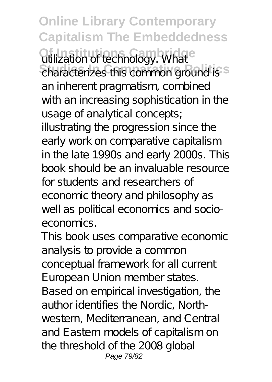**Online Library Contemporary Capitalism The Embeddedness Qtilization of technology. What Characterizes this common ground is S** an inherent pragmatism, combined with an increasing sophistication in the usage of analytical concepts; illustrating the progression since the early work on comparative capitalism in the late 1990s and early 2000s. This book should be an invaluable resource for students and researchers of economic theory and philosophy as well as political economics and socioeconomics.

This book uses comparative economic analysis to provide a common conceptual framework for all current European Union member states. Based on empirical investigation, the author identifies the Nordic, Northwestern, Mediterranean, and Central and Eastern models of capitalism on the threshold of the 2008 global Page 79/82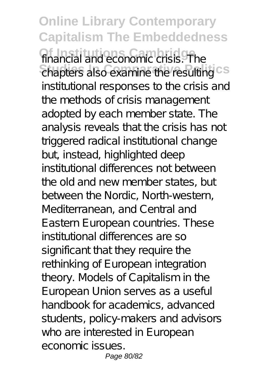**Online Library Contemporary Capitalism The Embeddedness** financial and economic crisis. The chapters also examine the resulting CS institutional responses to the crisis and the methods of crisis management adopted by each member state. The analysis reveals that the crisis has not triggered radical institutional change but, instead, highlighted deep institutional differences not between the old and new member states, but between the Nordic, North-western, Mediterranean, and Central and Eastern European countries. These institutional differences are so significant that they require the rethinking of European integration theory. Models of Capitalism in the European Union serves as a useful handbook for academics, advanced students, policy-makers and advisors who are interested in European economic issues. Page 80/82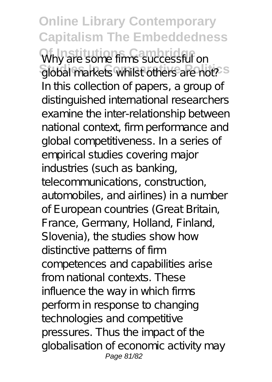**Online Library Contemporary Capitalism The Embeddedness** Why are some firms successful on global markets whilst others are not?<sup>5</sup> In this collection of papers, a group of distinguished international researchers examine the inter-relationship between national context, firm performance and global competitiveness. In a series of empirical studies covering major industries (such as banking, telecommunications, construction, automobiles, and airlines) in a number of European countries (Great Britain, France, Germany, Holland, Finland, Slovenia), the studies show how distinctive patterns of firm competences and capabilities arise from national contexts. These influence the way in which firms perform in response to changing technologies and competitive pressures. Thus the impact of the globalisation of economic activity may Page 81/82